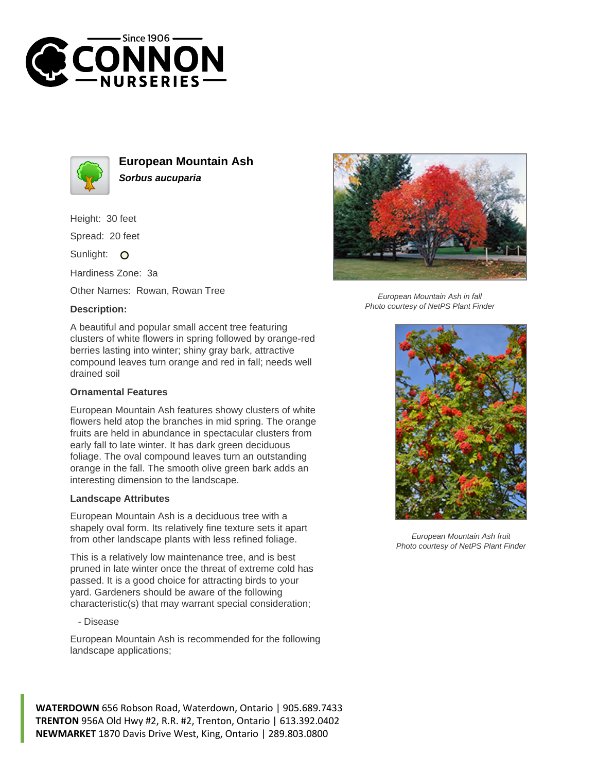



**European Mountain Ash Sorbus aucuparia**

Height: 30 feet

Spread: 20 feet

Sunlight: O

Hardiness Zone: 3a

Other Names: Rowan, Rowan Tree

## **Description:**



## **Ornamental Features**

European Mountain Ash features showy clusters of white flowers held atop the branches in mid spring. The orange fruits are held in abundance in spectacular clusters from early fall to late winter. It has dark green deciduous foliage. The oval compound leaves turn an outstanding orange in the fall. The smooth olive green bark adds an interesting dimension to the landscape.

## **Landscape Attributes**

European Mountain Ash is a deciduous tree with a shapely oval form. Its relatively fine texture sets it apart from other landscape plants with less refined foliage.

This is a relatively low maintenance tree, and is best pruned in late winter once the threat of extreme cold has passed. It is a good choice for attracting birds to your yard. Gardeners should be aware of the following characteristic(s) that may warrant special consideration;

- Disease

European Mountain Ash is recommended for the following landscape applications;







European Mountain Ash in fall Photo courtesy of NetPS Plant Finder



European Mountain Ash fruit Photo courtesy of NetPS Plant Finder